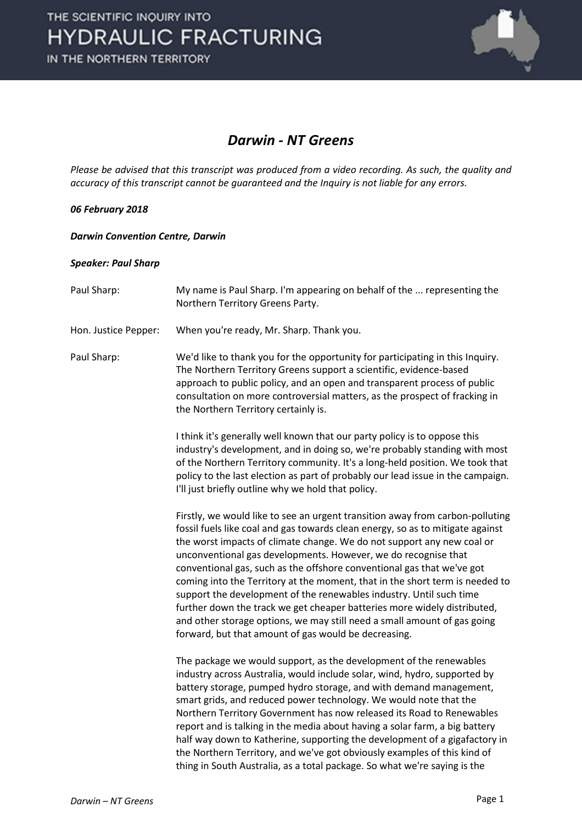

### *Darwin - NT Greens*

*Please be advised that this transcript was produced from a video recording. As such, the quality and accuracy of this transcript cannot be guaranteed and the Inquiry is not liable for any errors.*

#### *06 February 2018*

*Darwin Convention Centre, Darwin* 

#### *Speaker: Paul Sharp*

| Paul Sharp:          | My name is Paul Sharp. I'm appearing on behalf of the  representing the<br>Northern Territory Greens Party.                                                                                                                                                                                                                                                                                                                                                                                                                                                                                                                                                                                                                                                  |
|----------------------|--------------------------------------------------------------------------------------------------------------------------------------------------------------------------------------------------------------------------------------------------------------------------------------------------------------------------------------------------------------------------------------------------------------------------------------------------------------------------------------------------------------------------------------------------------------------------------------------------------------------------------------------------------------------------------------------------------------------------------------------------------------|
| Hon. Justice Pepper: | When you're ready, Mr. Sharp. Thank you.                                                                                                                                                                                                                                                                                                                                                                                                                                                                                                                                                                                                                                                                                                                     |
| Paul Sharp:          | We'd like to thank you for the opportunity for participating in this Inquiry.<br>The Northern Territory Greens support a scientific, evidence-based<br>approach to public policy, and an open and transparent process of public<br>consultation on more controversial matters, as the prospect of fracking in<br>the Northern Territory certainly is.                                                                                                                                                                                                                                                                                                                                                                                                        |
|                      | I think it's generally well known that our party policy is to oppose this<br>industry's development, and in doing so, we're probably standing with most<br>of the Northern Territory community. It's a long-held position. We took that<br>policy to the last election as part of probably our lead issue in the campaign.<br>I'll just briefly outline why we hold that policy.                                                                                                                                                                                                                                                                                                                                                                             |
|                      | Firstly, we would like to see an urgent transition away from carbon-polluting<br>fossil fuels like coal and gas towards clean energy, so as to mitigate against<br>the worst impacts of climate change. We do not support any new coal or<br>unconventional gas developments. However, we do recognise that<br>conventional gas, such as the offshore conventional gas that we've got<br>coming into the Territory at the moment, that in the short term is needed to<br>support the development of the renewables industry. Until such time<br>further down the track we get cheaper batteries more widely distributed,<br>and other storage options, we may still need a small amount of gas going<br>forward, but that amount of gas would be decreasing. |
|                      | The package we would support, as the development of the renewables<br>industry across Australia, would include solar, wind, hydro, supported by<br>battery storage, pumped hydro storage, and with demand management,<br>smart grids, and reduced power technology. We would note that the<br>Northern Territory Government has now released its Road to Renewables<br>report and is talking in the media about having a solar farm, a big battery<br>half way down to Katherine, supporting the development of a gigafactory in<br>the Northern Territory, and we've got obviously examples of this kind of<br>thing in South Australia, as a total package. So what we're saying is the                                                                    |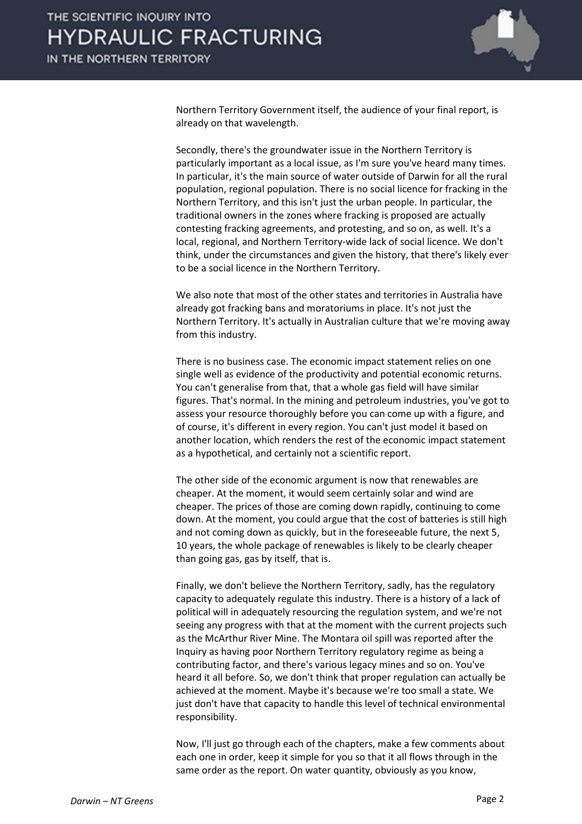

Northern Territory Government itself, the audience of your final report, is already on that wavelength.

Secondly, there's the groundwater issue in the Northern Territory is particularly important as a local issue, as I'm sure you've heard many times. In particular, it's the main source of water outside of Darwin for all the rural population, regional population. There is no social licence for fracking in the Northern Territory, and this isn't just the urban people. In particular, the traditional owners in the zones where fracking is proposed are actually contesting fracking agreements, and protesting, and so on, as well. It's a local, regional, and Northern Territory-wide lack of social licence. We don't think, under the circumstances and given the history, that there's likely ever to be a social licence in the Northern Territory.

We also note that most of the other states and territories in Australia have already got fracking bans and moratoriums in place. It's not just the Northern Territory. It's actually in Australian culture that we're moving away from this industry.

There is no business case. The economic impact statement relies on one single well as evidence of the productivity and potential economic returns. You can't generalise from that, that a whole gas field will have similar figures. That's normal. In the mining and petroleum industries, you've got to assess your resource thoroughly before you can come up with a figure, and of course, it's different in every region. You can't just model it based on another location, which renders the rest of the economic impact statement as a hypothetical, and certainly not a scientific report.

The other side of the economic argument is now that renewables are cheaper. At the moment, it would seem certainly solar and wind are cheaper. The prices of those are coming down rapidly, continuing to come down. At the moment, you could argue that the cost of batteries is still high and not coming down as quickly, but in the foreseeable future, the next 5, 10 years, the whole package of renewables is likely to be clearly cheaper than going gas, gas by itself, that is.

Finally, we don't believe the Northern Territory, sadly, has the regulatory capacity to adequately regulate this industry. There is a history of a lack of political will in adequately resourcing the regulation system, and we're not seeing any progress with that at the moment with the current projects such as the McArthur River Mine. The Montara oil spill was reported after the Inquiry as having poor Northern Territory regulatory regime as being a contributing factor, and there's various legacy mines and so on. You've heard it all before. So, we don't think that proper regulation can actually be achieved at the moment. Maybe it's because we're too small a state. We just don't have that capacity to handle this level of technical environmental responsibility.

Now, I'll just go through each of the chapters, make a few comments about each one in order, keep it simple for you so that it all flows through in the same order as the report. On water quantity, obviously as you know,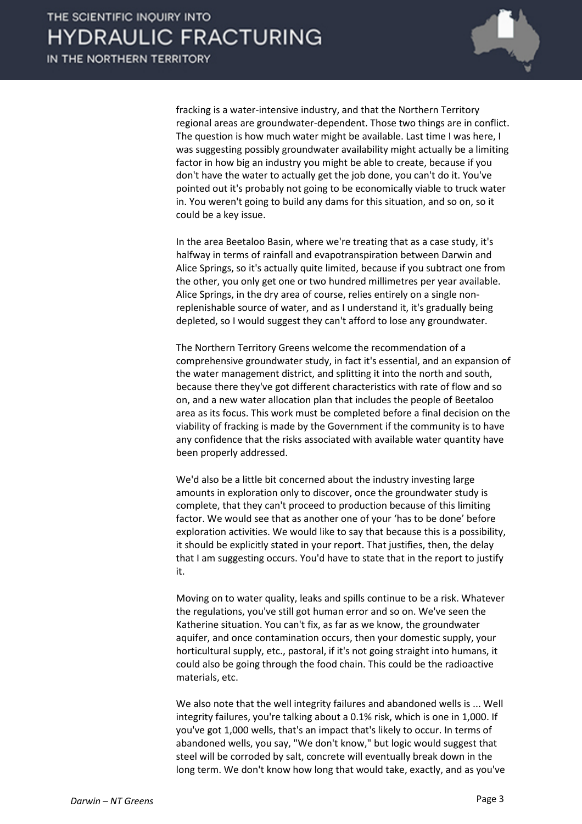

fracking is a water-intensive industry, and that the Northern Territory regional areas are groundwater-dependent. Those two things are in conflict. The question is how much water might be available. Last time I was here, I was suggesting possibly groundwater availability might actually be a limiting factor in how big an industry you might be able to create, because if you don't have the water to actually get the job done, you can't do it. You've pointed out it's probably not going to be economically viable to truck water in. You weren't going to build any dams for this situation, and so on, so it could be a key issue.

In the area Beetaloo Basin, where we're treating that as a case study, it's halfway in terms of rainfall and evapotranspiration between Darwin and Alice Springs, so it's actually quite limited, because if you subtract one from the other, you only get one or two hundred millimetres per year available. Alice Springs, in the dry area of course, relies entirely on a single nonreplenishable source of water, and as I understand it, it's gradually being depleted, so I would suggest they can't afford to lose any groundwater.

The Northern Territory Greens welcome the recommendation of a comprehensive groundwater study, in fact it's essential, and an expansion of the water management district, and splitting it into the north and south, because there they've got different characteristics with rate of flow and so on, and a new water allocation plan that includes the people of Beetaloo area as its focus. This work must be completed before a final decision on the viability of fracking is made by the Government if the community is to have any confidence that the risks associated with available water quantity have been properly addressed.

We'd also be a little bit concerned about the industry investing large amounts in exploration only to discover, once the groundwater study is complete, that they can't proceed to production because of this limiting factor. We would see that as another one of your 'has to be done' before exploration activities. We would like to say that because this is a possibility, it should be explicitly stated in your report. That justifies, then, the delay that I am suggesting occurs. You'd have to state that in the report to justify it.

Moving on to water quality, leaks and spills continue to be a risk. Whatever the regulations, you've still got human error and so on. We've seen the Katherine situation. You can't fix, as far as we know, the groundwater aquifer, and once contamination occurs, then your domestic supply, your horticultural supply, etc., pastoral, if it's not going straight into humans, it could also be going through the food chain. This could be the radioactive materials, etc.

We also note that the well integrity failures and abandoned wells is ... Well integrity failures, you're talking about a 0.1% risk, which is one in 1,000. If you've got 1,000 wells, that's an impact that's likely to occur. In terms of abandoned wells, you say, "We don't know," but logic would suggest that steel will be corroded by salt, concrete will eventually break down in the long term. We don't know how long that would take, exactly, and as you've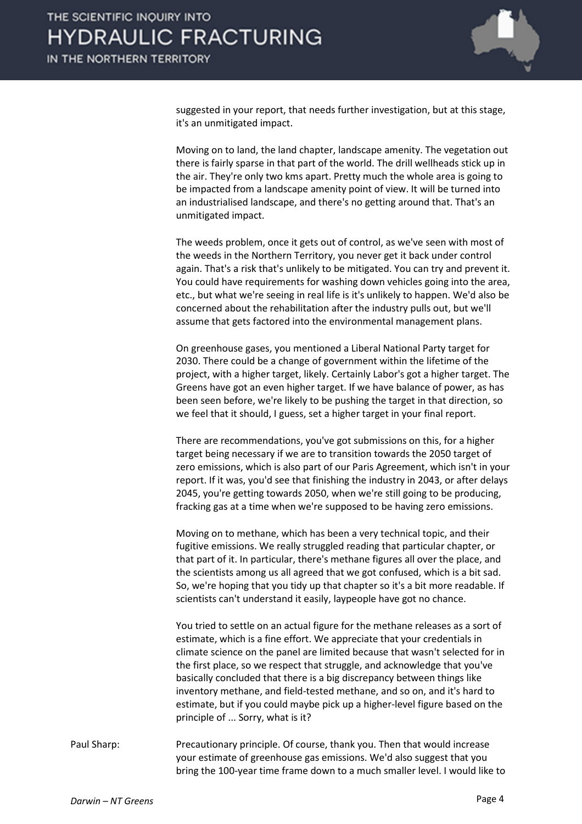

suggested in your report, that needs further investigation, but at this stage, it's an unmitigated impact.

Moving on to land, the land chapter, landscape amenity. The vegetation out there is fairly sparse in that part of the world. The drill wellheads stick up in the air. They're only two kms apart. Pretty much the whole area is going to be impacted from a landscape amenity point of view. It will be turned into an industrialised landscape, and there's no getting around that. That's an unmitigated impact.

The weeds problem, once it gets out of control, as we've seen with most of the weeds in the Northern Territory, you never get it back under control again. That's a risk that's unlikely to be mitigated. You can try and prevent it. You could have requirements for washing down vehicles going into the area, etc., but what we're seeing in real life is it's unlikely to happen. We'd also be concerned about the rehabilitation after the industry pulls out, but we'll assume that gets factored into the environmental management plans.

On greenhouse gases, you mentioned a Liberal National Party target for 2030. There could be a change of government within the lifetime of the project, with a higher target, likely. Certainly Labor's got a higher target. The Greens have got an even higher target. If we have balance of power, as has been seen before, we're likely to be pushing the target in that direction, so we feel that it should, I guess, set a higher target in your final report.

There are recommendations, you've got submissions on this, for a higher target being necessary if we are to transition towards the 2050 target of zero emissions, which is also part of our Paris Agreement, which isn't in your report. If it was, you'd see that finishing the industry in 2043, or after delays 2045, you're getting towards 2050, when we're still going to be producing, fracking gas at a time when we're supposed to be having zero emissions.

Moving on to methane, which has been a very technical topic, and their fugitive emissions. We really struggled reading that particular chapter, or that part of it. In particular, there's methane figures all over the place, and the scientists among us all agreed that we got confused, which is a bit sad. So, we're hoping that you tidy up that chapter so it's a bit more readable. If scientists can't understand it easily, laypeople have got no chance.

You tried to settle on an actual figure for the methane releases as a sort of estimate, which is a fine effort. We appreciate that your credentials in climate science on the panel are limited because that wasn't selected for in the first place, so we respect that struggle, and acknowledge that you've basically concluded that there is a big discrepancy between things like inventory methane, and field-tested methane, and so on, and it's hard to estimate, but if you could maybe pick up a higher-level figure based on the principle of ... Sorry, what is it?

Paul Sharp: Precautionary principle. Of course, thank you. Then that would increase your estimate of greenhouse gas emissions. We'd also suggest that you bring the 100-year time frame down to a much smaller level. I would like to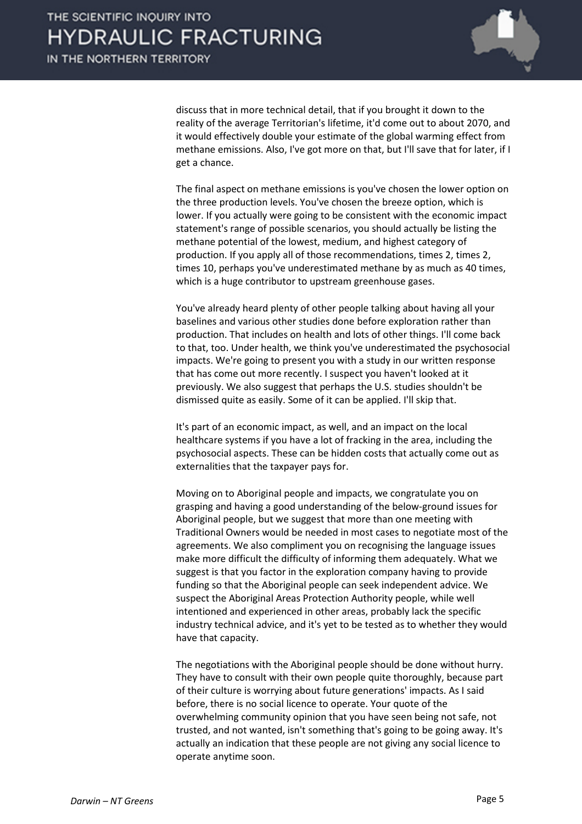

discuss that in more technical detail, that if you brought it down to the reality of the average Territorian's lifetime, it'd come out to about 2070, and it would effectively double your estimate of the global warming effect from methane emissions. Also, I've got more on that, but I'll save that for later, if I get a chance.

The final aspect on methane emissions is you've chosen the lower option on the three production levels. You've chosen the breeze option, which is lower. If you actually were going to be consistent with the economic impact statement's range of possible scenarios, you should actually be listing the methane potential of the lowest, medium, and highest category of production. If you apply all of those recommendations, times 2, times 2, times 10, perhaps you've underestimated methane by as much as 40 times, which is a huge contributor to upstream greenhouse gases.

You've already heard plenty of other people talking about having all your baselines and various other studies done before exploration rather than production. That includes on health and lots of other things. I'll come back to that, too. Under health, we think you've underestimated the psychosocial impacts. We're going to present you with a study in our written response that has come out more recently. I suspect you haven't looked at it previously. We also suggest that perhaps the U.S. studies shouldn't be dismissed quite as easily. Some of it can be applied. I'll skip that.

It's part of an economic impact, as well, and an impact on the local healthcare systems if you have a lot of fracking in the area, including the psychosocial aspects. These can be hidden costs that actually come out as externalities that the taxpayer pays for.

Moving on to Aboriginal people and impacts, we congratulate you on grasping and having a good understanding of the below-ground issues for Aboriginal people, but we suggest that more than one meeting with Traditional Owners would be needed in most cases to negotiate most of the agreements. We also compliment you on recognising the language issues make more difficult the difficulty of informing them adequately. What we suggest is that you factor in the exploration company having to provide funding so that the Aboriginal people can seek independent advice. We suspect the Aboriginal Areas Protection Authority people, while well intentioned and experienced in other areas, probably lack the specific industry technical advice, and it's yet to be tested as to whether they would have that capacity.

The negotiations with the Aboriginal people should be done without hurry. They have to consult with their own people quite thoroughly, because part of their culture is worrying about future generations' impacts. As I said before, there is no social licence to operate. Your quote of the overwhelming community opinion that you have seen being not safe, not trusted, and not wanted, isn't something that's going to be going away. It's actually an indication that these people are not giving any social licence to operate anytime soon.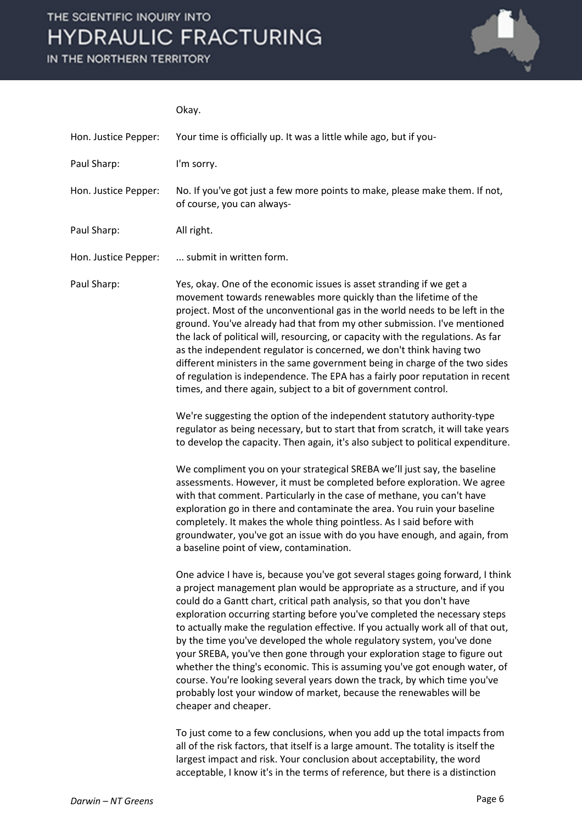# THE SCIENTIFIC INQUIRY INTO **HYDRAULIC FRACTURING**

IN THE NORTHERN TERRITORY



### Okay.

| Hon. Justice Pepper: | Your time is officially up. It was a little while ago, but if you-                                                                                                                                                                                                                                                                                                                                                                                                                                                                                                                                                                                                                                                                                                                                                                                                                                                                                                                                                                                                                                                                                                                                                                                                                                                                                                                                                                                                                                                                                                                                                                                                                                                                                                                                                                                                                                                                                                                                                                                                                                                                                                                                 |
|----------------------|----------------------------------------------------------------------------------------------------------------------------------------------------------------------------------------------------------------------------------------------------------------------------------------------------------------------------------------------------------------------------------------------------------------------------------------------------------------------------------------------------------------------------------------------------------------------------------------------------------------------------------------------------------------------------------------------------------------------------------------------------------------------------------------------------------------------------------------------------------------------------------------------------------------------------------------------------------------------------------------------------------------------------------------------------------------------------------------------------------------------------------------------------------------------------------------------------------------------------------------------------------------------------------------------------------------------------------------------------------------------------------------------------------------------------------------------------------------------------------------------------------------------------------------------------------------------------------------------------------------------------------------------------------------------------------------------------------------------------------------------------------------------------------------------------------------------------------------------------------------------------------------------------------------------------------------------------------------------------------------------------------------------------------------------------------------------------------------------------------------------------------------------------------------------------------------------------|
| Paul Sharp:          | I'm sorry.                                                                                                                                                                                                                                                                                                                                                                                                                                                                                                                                                                                                                                                                                                                                                                                                                                                                                                                                                                                                                                                                                                                                                                                                                                                                                                                                                                                                                                                                                                                                                                                                                                                                                                                                                                                                                                                                                                                                                                                                                                                                                                                                                                                         |
| Hon. Justice Pepper: | No. If you've got just a few more points to make, please make them. If not,<br>of course, you can always-                                                                                                                                                                                                                                                                                                                                                                                                                                                                                                                                                                                                                                                                                                                                                                                                                                                                                                                                                                                                                                                                                                                                                                                                                                                                                                                                                                                                                                                                                                                                                                                                                                                                                                                                                                                                                                                                                                                                                                                                                                                                                          |
| Paul Sharp:          | All right.                                                                                                                                                                                                                                                                                                                                                                                                                                                                                                                                                                                                                                                                                                                                                                                                                                                                                                                                                                                                                                                                                                                                                                                                                                                                                                                                                                                                                                                                                                                                                                                                                                                                                                                                                                                                                                                                                                                                                                                                                                                                                                                                                                                         |
| Hon. Justice Pepper: | submit in written form.                                                                                                                                                                                                                                                                                                                                                                                                                                                                                                                                                                                                                                                                                                                                                                                                                                                                                                                                                                                                                                                                                                                                                                                                                                                                                                                                                                                                                                                                                                                                                                                                                                                                                                                                                                                                                                                                                                                                                                                                                                                                                                                                                                            |
| Paul Sharp:          | Yes, okay. One of the economic issues is asset stranding if we get a<br>movement towards renewables more quickly than the lifetime of the<br>project. Most of the unconventional gas in the world needs to be left in the<br>ground. You've already had that from my other submission. I've mentioned<br>the lack of political will, resourcing, or capacity with the regulations. As far<br>as the independent regulator is concerned, we don't think having two<br>different ministers in the same government being in charge of the two sides<br>of regulation is independence. The EPA has a fairly poor reputation in recent<br>times, and there again, subject to a bit of government control.<br>We're suggesting the option of the independent statutory authority-type<br>regulator as being necessary, but to start that from scratch, it will take years<br>to develop the capacity. Then again, it's also subject to political expenditure.<br>We compliment you on your strategical SREBA we'll just say, the baseline<br>assessments. However, it must be completed before exploration. We agree<br>with that comment. Particularly in the case of methane, you can't have<br>exploration go in there and contaminate the area. You ruin your baseline<br>completely. It makes the whole thing pointless. As I said before with<br>groundwater, you've got an issue with do you have enough, and again, from<br>a baseline point of view, contamination.<br>One advice I have is, because you've got several stages going forward, I think<br>a project management plan would be appropriate as a structure, and if you<br>could do a Gantt chart, critical path analysis, so that you don't have<br>exploration occurring starting before you've completed the necessary steps<br>to actually make the regulation effective. If you actually work all of that out,<br>by the time you've developed the whole regulatory system, you've done<br>your SREBA, you've then gone through your exploration stage to figure out<br>whether the thing's economic. This is assuming you've got enough water, of<br>course. You're looking several years down the track, by which time you've |
|                      | probably lost your window of market, because the renewables will be<br>cheaper and cheaper.                                                                                                                                                                                                                                                                                                                                                                                                                                                                                                                                                                                                                                                                                                                                                                                                                                                                                                                                                                                                                                                                                                                                                                                                                                                                                                                                                                                                                                                                                                                                                                                                                                                                                                                                                                                                                                                                                                                                                                                                                                                                                                        |
|                      | To just come to a few conclusions, when you add up the total impacts from<br>all of the risk factors, that itself is a large amount. The totality is itself the<br>largest impact and risk. Your conclusion about acceptability, the word                                                                                                                                                                                                                                                                                                                                                                                                                                                                                                                                                                                                                                                                                                                                                                                                                                                                                                                                                                                                                                                                                                                                                                                                                                                                                                                                                                                                                                                                                                                                                                                                                                                                                                                                                                                                                                                                                                                                                          |

acceptable, I know it's in the terms of reference, but there is a distinction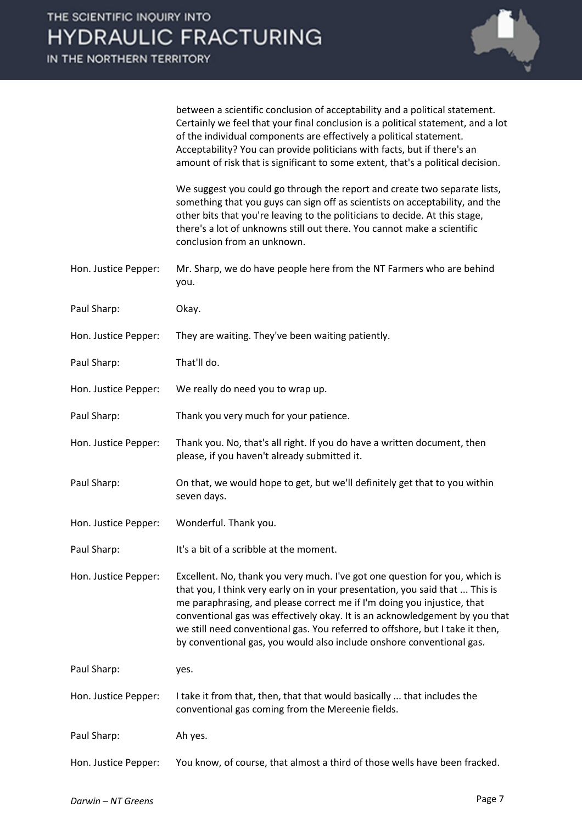IN THE NORTHERN TERRITORY



between a scientific conclusion of acceptability and a political statement. Certainly we feel that your final conclusion is a political statement, and a lot of the individual components are effectively a political statement. Acceptability? You can provide politicians with facts, but if there's an amount of risk that is significant to some extent, that's a political decision.

We suggest you could go through the report and create two separate lists, something that you guys can sign off as scientists on acceptability, and the other bits that you're leaving to the politicians to decide. At this stage, there's a lot of unknowns still out there. You cannot make a scientific conclusion from an unknown.

- Hon. Justice Pepper: Mr. Sharp, we do have people here from the NT Farmers who are behind you.
- Paul Sharp: Okay.
- Hon. Justice Pepper: They are waiting. They've been waiting patiently.
- Paul Sharp: That'll do.
- Hon. Justice Pepper: We really do need you to wrap up.
- Paul Sharp: Thank you very much for your patience.
- Hon. Justice Pepper: Thank you. No, that's all right. If you do have a written document, then please, if you haven't already submitted it.
- Paul Sharp: On that, we would hope to get, but we'll definitely get that to you within seven days.
- Hon. Justice Pepper: Wonderful. Thank you.
- Paul Sharp: It's a bit of a scribble at the moment.
- Hon. Justice Pepper: Excellent. No, thank you very much. I've got one question for you, which is that you, I think very early on in your presentation, you said that ... This is me paraphrasing, and please correct me if I'm doing you injustice, that conventional gas was effectively okay. It is an acknowledgement by you that we still need conventional gas. You referred to offshore, but I take it then, by conventional gas, you would also include onshore conventional gas.

Paul Sharp: yes.

Hon. Justice Pepper: I take it from that, then, that that would basically ... that includes the conventional gas coming from the Mereenie fields.

Paul Sharp: Ah yes.

Hon. Justice Pepper: You know, of course, that almost a third of those wells have been fracked.